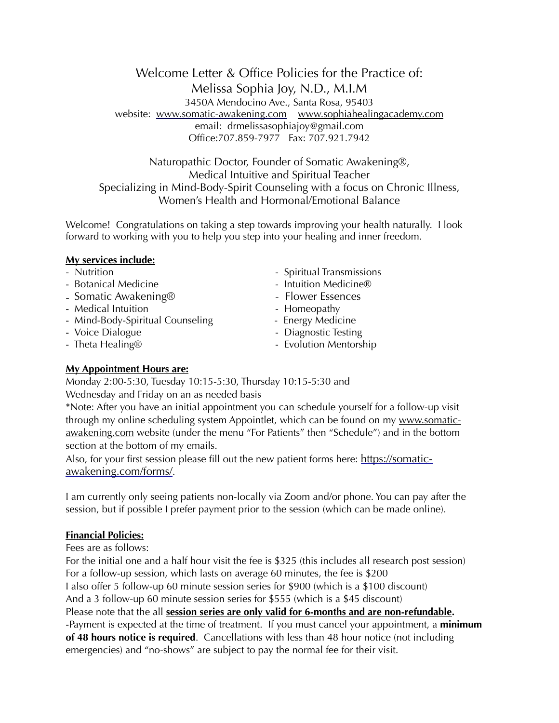Welcome Letter & Office Policies for the Practice of: Melissa Sophia Joy, N.D., M.I.M 3450A Mendocino Ave., Santa Rosa, 95403 website: [www.somatic-awakening.com](http://www.somatic-awakening.com) [www.sophiahealingacademy.com](http://www.sophiahealingacademy.com) email: drmelissasophiajoy@gmail.com Office:707.859-7977 Fax: 707.921.7942

Naturopathic Doctor, Founder of Somatic Awakening®, Medical Intuitive and Spiritual Teacher Specializing in Mind-Body-Spirit Counseling with a focus on Chronic Illness, Women's Health and Hormonal/Emotional Balance

Welcome! Congratulations on taking a step towards improving your health naturally. I look forward to working with you to help you step into your healing and inner freedom.

## **My services include:**

- 
- 
- Somatic Awakening® Flower Essences
- Medical Intuition **Figure 2018** Homeopathy
- Mind-Body-Spiritual Counseling Energy Medicine
- 
- 
- Nutrition  **Spiritual Transmissions**
- Botanical Medicine  **Access 10** Intuition Medicine®
	-
	-
	-
- Voice Dialogue 2008 Diagnostic Testing
- Theta Healing® Theta Healing® Evolution Mentorship

## **My Appointment Hours are:**

Monday 2:00-5:30, Tuesday 10:15-5:30, Thursday 10:15-5:30 and Wednesday and Friday on an as needed basis

\*Note: After you have an initial appointment you can schedule yourself for a follow-up visit through my online scheduling system Appointlet, which can be found on my [www.somatic](http://www.somatic-awakening.com)[awakening.com](http://www.somatic-awakening.com) website (under the menu "For Patients" then "Schedule") and in the bottom section at the bottom of my emails.

Also, for your first session please fill out the new patient forms here: [https://somatic](https://somatic-awakening.com/forms/)[awakening.com/forms/.](https://somatic-awakening.com/forms/)

I am currently only seeing patients non-locally via Zoom and/or phone. You can pay after the session, but if possible I prefer payment prior to the session (which can be made online).

## **Financial Policies:**

Fees are as follows:

For the initial one and a half hour visit the fee is \$325 (this includes all research post session) For a follow-up session, which lasts on average 60 minutes, the fee is \$200 I also offer 5 follow-up 60 minute session series for \$900 (which is a \$100 discount) And a 3 follow-up 60 minute session series for \$555 (which is a \$45 discount) Please note that the all **session series are only valid for 6-months and are non-refundable.**  -Payment is expected at the time of treatment. If you must cancel your appointment, a **minimum of 48 hours notice is required**. Cancellations with less than 48 hour notice (not including emergencies) and "no-shows" are subject to pay the normal fee for their visit.